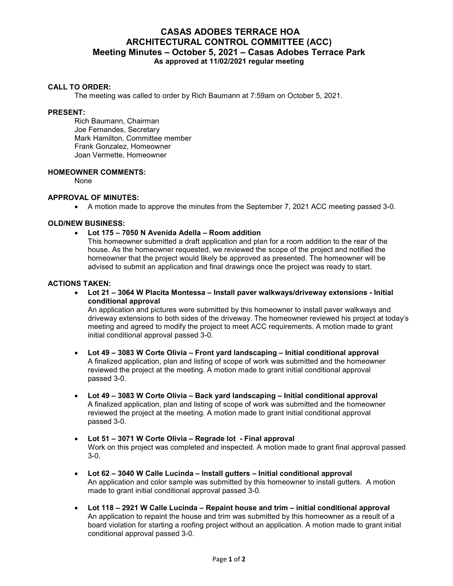# **CASAS ADOBES TERRACE HOA ARCHITECTURAL CONTROL COMMITTEE (ACC) Meeting Minutes – October 5, 2021 – Casas Adobes Terrace Park As approved at 11/02/2021 regular meeting**

# **CALL TO ORDER:**

The meeting was called to order by Rich Baumann at 7:59am on October 5, 2021.

### **PRESENT:**

Rich Baumann, Chairman Joe Fernandes, Secretary Mark Hamilton, Committee member Frank Gonzalez, Homeowner Joan Vermette, Homeowner

# **HOMEOWNER COMMENTS:**

None

# **APPROVAL OF MINUTES:**

A motion made to approve the minutes from the September 7, 2021 ACC meeting passed 3-0.

## **OLD/NEW BUSINESS:**

**Lot 175 – 7050 N Avenida Adella – Room addition**

This homeowner submitted a draft application and plan for a room addition to the rear of the house. As the homeowner requested, we reviewed the scope of the project and notified the homeowner that the project would likely be approved as presented. The homeowner will be advised to submit an application and final drawings once the project was ready to start.

#### **ACTIONS TAKEN:**

 **Lot 21 – 3064 W Placita Montessa – Install paver walkways/driveway extensions - Initial conditional approval**

An application and pictures were submitted by this homeowner to install paver walkways and driveway extensions to both sides of the driveway. The homeowner reviewed his project at today's meeting and agreed to modify the project to meet ACC requirements. A motion made to grant initial conditional approval passed 3-0.

- **Lot 49 3083 W Corte Olivia Front yard landscaping Initial conditional approval** A finalized application, plan and listing of scope of work was submitted and the homeowner reviewed the project at the meeting. A motion made to grant initial conditional approval passed 3-0.
- **Lot 49 3083 W Corte Olivia Back yard landscaping Initial conditional approval** A finalized application, plan and listing of scope of work was submitted and the homeowner reviewed the project at the meeting. A motion made to grant initial conditional approval passed 3-0.
- **Lot 51 3071 W Corte Olivia Regrade lot Final approval**  Work on this project was completed and inspected. A motion made to grant final approval passed 3-0.
- **Lot 62 3040 W Calle Lucinda Install gutters Initial conditional approval**  An application and color sample was submitted by this homeowner to install gutters. A motion made to grant initial conditional approval passed 3-0.
- **Lot 118 2921 W Calle Lucinda Repaint house and trim initial conditional approval**  An application to repaint the house and trim was submitted by this homeowner as a result of a board violation for starting a roofing project without an application. A motion made to grant initial conditional approval passed 3-0.